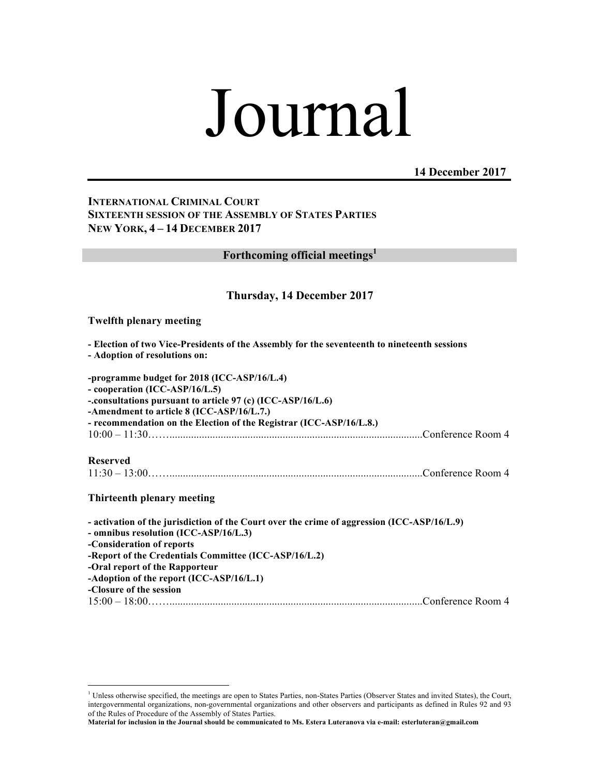# Journal

**14 December 2017**

# **INTERNATIONAL CRIMINAL COURT SIXTEENTH SESSION OF THE ASSEMBLY OF STATES PARTIES NEW YORK, 4 – 14 DECEMBER 2017**

**Forthcoming official meetings1**

## **Thursday, 14 December 2017**

#### **Twelfth plenary meeting**

**- Election of two Vice-Presidents of the Assembly for the seventeenth to nineteenth sessions** 

**- Adoption of resolutions on:**

**-programme budget for 2018 (ICC-ASP/16/L.4) - cooperation (ICC-ASP/16/L.5) -.consultations pursuant to article 97 (c) (ICC-ASP/16/L.6) -Amendment to article 8 (ICC-ASP/16/L.7.) - recommendation on the Election of the Registrar (ICC-ASP/16/L.8.)**  10:00 – 11:30……..............................................................................................Conference Room 4

**Reserved**

|--|--|--|

**Thirteenth plenary meeting**

**- activation of the jurisdiction of the Court over the crime of aggression (ICC-ASP/16/L.9) - omnibus resolution (ICC-ASP/16/L.3) -Consideration of reports -Report of the Credentials Committee (ICC-ASP/16/L.2) -Oral report of the Rapporteur -Adoption of the report (ICC-ASP/16/L.1) -Closure of the session**  15:00 – 18:00……..............................................................................................Conference Room 4

 $\frac{1}{1}$ <sup>1</sup> Unless otherwise specified, the meetings are open to States Parties, non-States Parties (Observer States and invited States), the Court, intergovernmental organizations, non-governmental organizations and other observers and participants as defined in Rules 92 and 93 of the Rules of Procedure of the Assembly of States Parties.

**Material for inclusion in the Journal should be communicated to Ms. Estera Luteranova via e-mail: esterluteran@gmail.com**